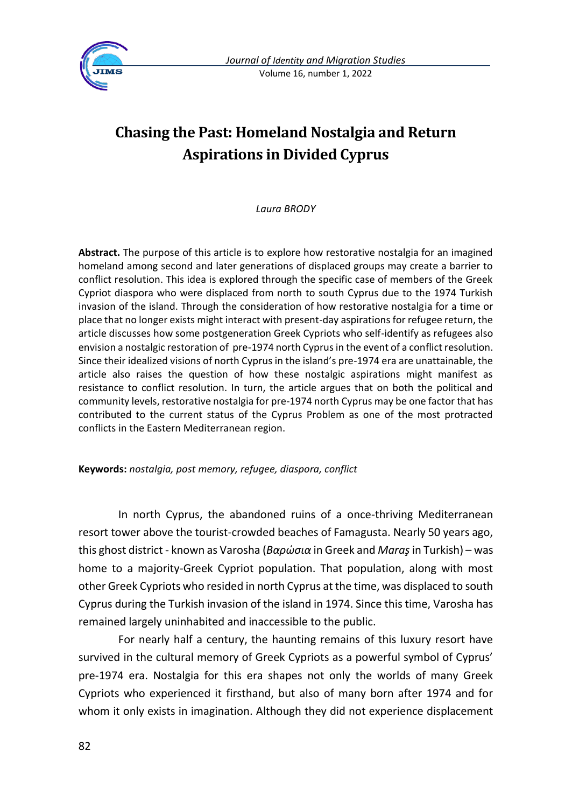

*Journal of Identity and Migration Studies* Volume 16, number 1, 2022

# **Chasing the Past: Homeland Nostalgia and Return Aspirations in Divided Cyprus**

*Laura BRODY*

**Abstract.** The purpose of this article is to explore how restorative nostalgia for an imagined homeland among second and later generations of displaced groups may create a barrier to conflict resolution. This idea is explored through the specific case of members of the Greek Cypriot diaspora who were displaced from north to south Cyprus due to the 1974 Turkish invasion of the island. Through the consideration of how restorative nostalgia for a time or place that no longer exists might interact with present-day aspirations for refugee return, the article discusses how some postgeneration Greek Cypriots who self-identify as refugees also envision a nostalgic restoration of pre-1974 north Cyprus in the event of a conflict resolution. Since their idealized visions of north Cyprus in the island's pre-1974 era are unattainable, the article also raises the question of how these nostalgic aspirations might manifest as resistance to conflict resolution. In turn, the article argues that on both the political and community levels, restorative nostalgia for pre-1974 north Cyprus may be one factor that has contributed to the current status of the Cyprus Problem as one of the most protracted conflicts in the Eastern Mediterranean region.

**Keywords:** *nostalgia, post memory, refugee, diaspora, conflict*

In north Cyprus, the abandoned ruins of a once-thriving Mediterranean resort tower above the tourist-crowded beaches of Famagusta. Nearly 50 years ago, this ghost district - known as Varosha (*Βαρώσια* in Greek and *Maraş*in Turkish) – was home to a majority-Greek Cypriot population. That population, along with most other Greek Cypriots who resided in north Cyprus at the time, was displaced to south Cyprus during the Turkish invasion of the island in 1974. Since this time, Varosha has remained largely uninhabited and inaccessible to the public.

For nearly half a century, the haunting remains of this luxury resort have survived in the cultural memory of Greek Cypriots as a powerful symbol of Cyprus' pre-1974 era. Nostalgia for this era shapes not only the worlds of many Greek Cypriots who experienced it firsthand, but also of many born after 1974 and for whom it only exists in imagination. Although they did not experience displacement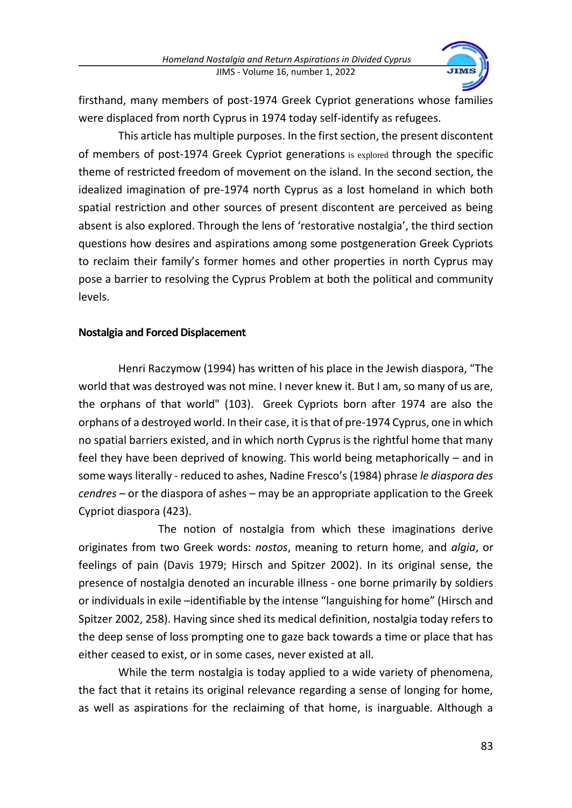

firsthand, many members of post-1974 Greek Cypriot generations whose families were displaced from north Cyprus in 1974 today self-identify as refugees.

This article has multiple purposes. In the first section, the present discontent of members of post-1974 Greek Cypriot generations is explored through the specific theme of restricted freedom of movement on the island. In the second section, the idealized imagination of pre-1974 north Cyprus as a lost homeland in which both spatial restriction and other sources of present discontent are perceived as being absent is also explored. Through the lens of 'restorative nostalgia', the third section questions how desires and aspirations among some postgeneration Greek Cypriots to reclaim their family's former homes and other properties in north Cyprus may pose a barrier to resolving the Cyprus Problem at both the political and community levels.

# **Nostalgia and Forced Displacement**

Henri Raczymow (1994) has written of his place in the Jewish diaspora, "The world that was destroyed was not mine. I never knew it. But I am, so many of us are, the orphans of that world" (103). Greek Cypriots born after 1974 are also the orphans of a destroyed world. In their case, it is that of pre-1974 Cyprus, one in which no spatial barriers existed, and in which north Cyprus is the rightful home that many feel they have been deprived of knowing. This world being metaphorically – and in some ways literally - reduced to ashes, Nadine Fresco's (1984) phrase *le diaspora des cendres* – or the diaspora of ashes – may be an appropriate application to the Greek Cypriot diaspora (423).

The notion of nostalgia from which these imaginations derive originates from two Greek words: *nostos*, meaning to return home, and *algia*, or feelings of pain (Davis 1979; Hirsch and Spitzer 2002). In its original sense, the presence of nostalgia denoted an incurable illness - one borne primarily by soldiers or individuals in exile –identifiable by the intense "languishing for home" (Hirsch and Spitzer 2002, 258). Having since shed its medical definition, nostalgia today refers to the deep sense of loss prompting one to gaze back towards a time or place that has either ceased to exist, or in some cases, never existed at all.

While the term nostalgia is today applied to a wide variety of phenomena, the fact that it retains its original relevance regarding a sense of longing for home, as well as aspirations for the reclaiming of that home, is inarguable. Although a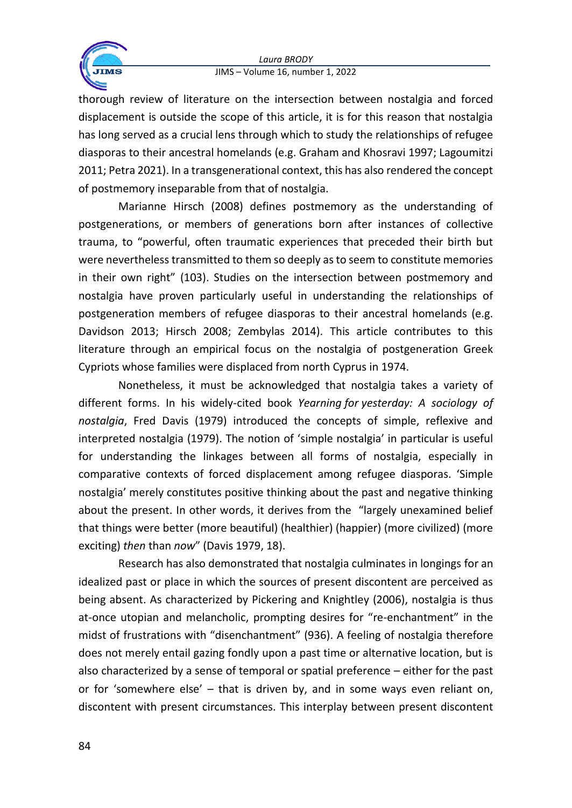

thorough review of literature on the intersection between nostalgia and forced displacement is outside the scope of this article, it is for this reason that nostalgia has long served as a crucial lens through which to study the relationships of refugee diasporas to their ancestral homelands (e.g. Graham and Khosravi 1997; Lagoumitzi 2011; Petra 2021). In a transgenerational context, this has also rendered the concept of postmemory inseparable from that of nostalgia.

Marianne Hirsch (2008) defines postmemory as the understanding of postgenerations, or members of generations born after instances of collective trauma, to "powerful, often traumatic experiences that preceded their birth but were nevertheless transmitted to them so deeply as to seem to constitute memories in their own right" (103). Studies on the intersection between postmemory and nostalgia have proven particularly useful in understanding the relationships of postgeneration members of refugee diasporas to their ancestral homelands (e.g. Davidson 2013; Hirsch 2008; Zembylas 2014). This article contributes to this literature through an empirical focus on the nostalgia of postgeneration Greek Cypriots whose families were displaced from north Cyprus in 1974.

Nonetheless, it must be acknowledged that nostalgia takes a variety of different forms. In his widely-cited book *Yearning for yesterday: A sociology of nostalgia*, Fred Davis (1979) introduced the concepts of simple, reflexive and interpreted nostalgia (1979). The notion of 'simple nostalgia' in particular is useful for understanding the linkages between all forms of nostalgia, especially in comparative contexts of forced displacement among refugee diasporas. 'Simple nostalgia' merely constitutes positive thinking about the past and negative thinking about the present. In other words, it derives from the "largely unexamined belief that things were better (more beautiful) (healthier) (happier) (more civilized) (more exciting) *then* than *now*" (Davis 1979, 18).

Research has also demonstrated that nostalgia culminates in longings for an idealized past or place in which the sources of present discontent are perceived as being absent. As characterized by Pickering and Knightley (2006), nostalgia is thus at-once utopian and melancholic, prompting desires for "re-enchantment" in the midst of frustrations with "disenchantment" (936). A feeling of nostalgia therefore does not merely entail gazing fondly upon a past time or alternative location, but is also characterized by a sense of temporal or spatial preference – either for the past or for 'somewhere else' – that is driven by, and in some ways even reliant on, discontent with present circumstances. This interplay between present discontent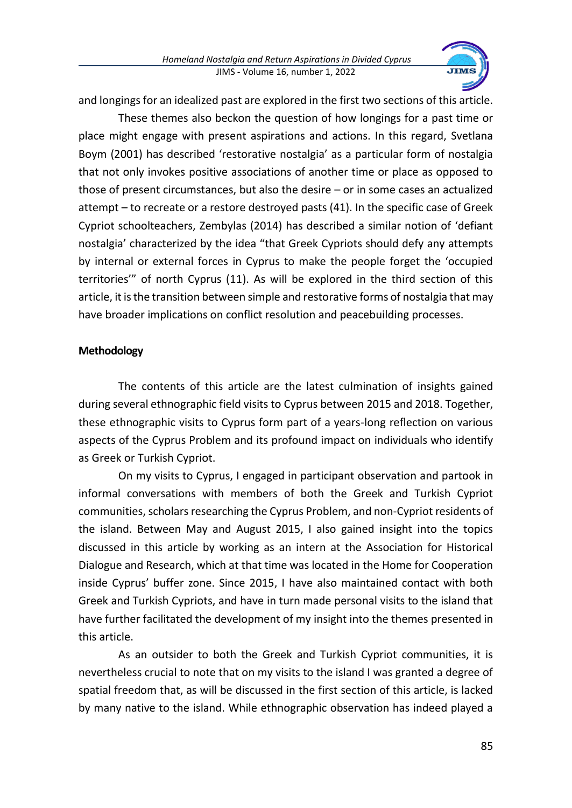

and longings for an idealized past are explored in the first two sections of this article.

These themes also beckon the question of how longings for a past time or place might engage with present aspirations and actions. In this regard, Svetlana Boym (2001) has described 'restorative nostalgia' as a particular form of nostalgia that not only invokes positive associations of another time or place as opposed to those of present circumstances, but also the desire – or in some cases an actualized attempt – to recreate or a restore destroyed pasts (41). In the specific case of Greek Cypriot schoolteachers, Zembylas (2014) has described a similar notion of 'defiant nostalgia' characterized by the idea "that Greek Cypriots should defy any attempts by internal or external forces in Cyprus to make the people forget the 'occupied territories'" of north Cyprus (11). As will be explored in the third section of this article, it is the transition between simple and restorative forms of nostalgia that may have broader implications on conflict resolution and peacebuilding processes.

### **Methodology**

The contents of this article are the latest culmination of insights gained during several ethnographic field visits to Cyprus between 2015 and 2018. Together, these ethnographic visits to Cyprus form part of a years-long reflection on various aspects of the Cyprus Problem and its profound impact on individuals who identify as Greek or Turkish Cypriot.

On my visits to Cyprus, I engaged in participant observation and partook in informal conversations with members of both the Greek and Turkish Cypriot communities, scholars researching the Cyprus Problem, and non-Cypriot residents of the island. Between May and August 2015, I also gained insight into the topics discussed in this article by working as an intern at the Association for Historical Dialogue and Research, which at that time was located in the Home for Cooperation inside Cyprus' buffer zone. Since 2015, I have also maintained contact with both Greek and Turkish Cypriots, and have in turn made personal visits to the island that have further facilitated the development of my insight into the themes presented in this article.

As an outsider to both the Greek and Turkish Cypriot communities, it is nevertheless crucial to note that on my visits to the island I was granted a degree of spatial freedom that, as will be discussed in the first section of this article, is lacked by many native to the island. While ethnographic observation has indeed played a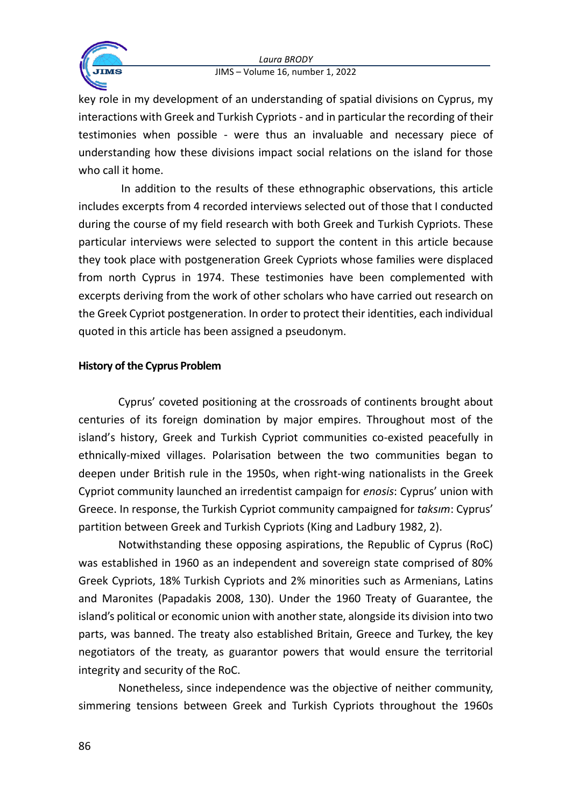

key role in my development of an understanding of spatial divisions on Cyprus, my interactions with Greek and Turkish Cypriots - and in particular the recording of their testimonies when possible - were thus an invaluable and necessary piece of understanding how these divisions impact social relations on the island for those who call it home.

In addition to the results of these ethnographic observations, this article includes excerpts from 4 recorded interviews selected out of those that I conducted during the course of my field research with both Greek and Turkish Cypriots. These particular interviews were selected to support the content in this article because they took place with postgeneration Greek Cypriots whose families were displaced from north Cyprus in 1974. These testimonies have been complemented with excerpts deriving from the work of other scholars who have carried out research on the Greek Cypriot postgeneration. In order to protect their identities, each individual quoted in this article has been assigned a pseudonym.

# **History of the Cyprus Problem**

Cyprus' coveted positioning at the crossroads of continents brought about centuries of its foreign domination by major empires. Throughout most of the island's history, Greek and Turkish Cypriot communities co-existed peacefully in ethnically-mixed villages. Polarisation between the two communities began to deepen under British rule in the 1950s, when right-wing nationalists in the Greek Cypriot community launched an irredentist campaign for *enosis*: Cyprus' union with Greece. In response, the Turkish Cypriot community campaigned for *taksım*: Cyprus' partition between Greek and Turkish Cypriots (King and Ladbury 1982, 2).

Notwithstanding these opposing aspirations, the Republic of Cyprus (RoC) was established in 1960 as an independent and sovereign state comprised of 80% Greek Cypriots, 18% Turkish Cypriots and 2% minorities such as Armenians, Latins and Maronites (Papadakis 2008, 130). Under the 1960 Treaty of Guarantee, the island's political or economic union with another state, alongside its division into two parts, was banned. The treaty also established Britain, Greece and Turkey, the key negotiators of the treaty, as guarantor powers that would ensure the territorial integrity and security of the RoC.

Nonetheless, since independence was the objective of neither community, simmering tensions between Greek and Turkish Cypriots throughout the 1960s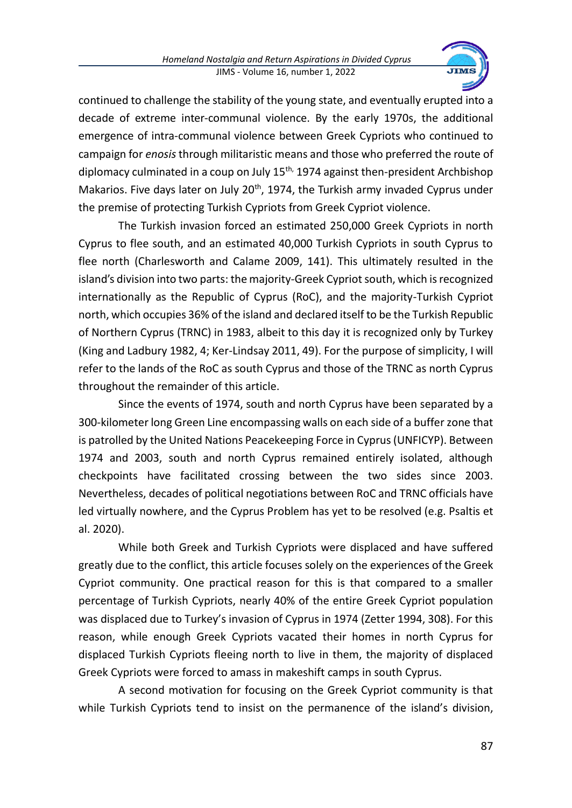

continued to challenge the stability of the young state, and eventually erupted into a decade of extreme inter-communal violence. By the early 1970s, the additional emergence of intra-communal violence between Greek Cypriots who continued to campaign for *enosis* through militaristic means and those who preferred the route of diplomacy culminated in a coup on July  $15<sup>th</sup>$ , 1974 against then-president Archbishop Makarios. Five days later on July 20<sup>th</sup>, 1974, the Turkish army invaded Cyprus under the premise of protecting Turkish Cypriots from Greek Cypriot violence.

The Turkish invasion forced an estimated 250,000 Greek Cypriots in north Cyprus to flee south, and an estimated 40,000 Turkish Cypriots in south Cyprus to flee north (Charlesworth and Calame 2009, 141). This ultimately resulted in the island's division into two parts: the majority-Greek Cypriot south, which is recognized internationally as the Republic of Cyprus (RoC), and the majority-Turkish Cypriot north, which occupies 36% of the island and declared itself to be the Turkish Republic of Northern Cyprus (TRNC) in 1983, albeit to this day it is recognized only by Turkey (King and Ladbury 1982, 4; Ker-Lindsay 2011, 49). For the purpose of simplicity, I will refer to the lands of the RoC as south Cyprus and those of the TRNC as north Cyprus throughout the remainder of this article.

Since the events of 1974, south and north Cyprus have been separated by a 300-kilometer long Green Line encompassing walls on each side of a buffer zone that is patrolled by the United Nations Peacekeeping Force in Cyprus (UNFICYP). Between 1974 and 2003, south and north Cyprus remained entirely isolated, although checkpoints have facilitated crossing between the two sides since 2003. Nevertheless, decades of political negotiations between RoC and TRNC officials have led virtually nowhere, and the Cyprus Problem has yet to be resolved (e.g. Psaltis et al. 2020).

While both Greek and Turkish Cypriots were displaced and have suffered greatly due to the conflict, this article focuses solely on the experiences of the Greek Cypriot community. One practical reason for this is that compared to a smaller percentage of Turkish Cypriots, nearly 40% of the entire Greek Cypriot population was displaced due to Turkey's invasion of Cyprus in 1974 (Zetter 1994, 308). For this reason, while enough Greek Cypriots vacated their homes in north Cyprus for displaced Turkish Cypriots fleeing north to live in them, the majority of displaced Greek Cypriots were forced to amass in makeshift camps in south Cyprus.

A second motivation for focusing on the Greek Cypriot community is that while Turkish Cypriots tend to insist on the permanence of the island's division,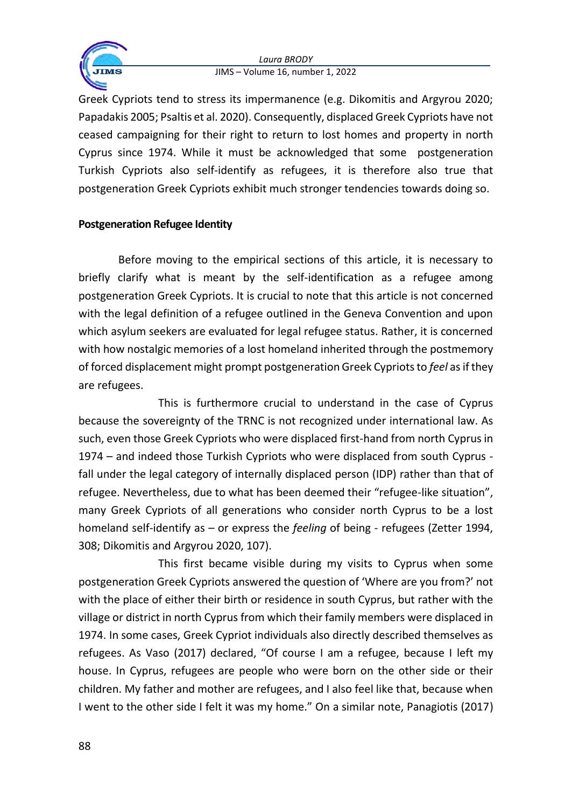

Greek Cypriots tend to stress its impermanence (e.g. Dikomitis and Argyrou 2020; Papadakis 2005; Psaltis et al. 2020). Consequently, displaced Greek Cypriots have not ceased campaigning for their right to return to lost homes and property in north Cyprus since 1974. While it must be acknowledged that some postgeneration Turkish Cypriots also self-identify as refugees, it is therefore also true that postgeneration Greek Cypriots exhibit much stronger tendencies towards doing so.

# **Postgeneration Refugee Identity**

Before moving to the empirical sections of this article, it is necessary to briefly clarify what is meant by the self-identification as a refugee among postgeneration Greek Cypriots. It is crucial to note that this article is not concerned with the legal definition of a refugee outlined in the Geneva Convention and upon which asylum seekers are evaluated for legal refugee status. Rather, it is concerned with how nostalgic memories of a lost homeland inherited through the postmemory of forced displacement might prompt postgeneration Greek Cypriots to *feel* as if they are refugees.

This is furthermore crucial to understand in the case of Cyprus because the sovereignty of the TRNC is not recognized under international law. As such, even those Greek Cypriots who were displaced first-hand from north Cyprus in 1974 – and indeed those Turkish Cypriots who were displaced from south Cyprus fall under the legal category of internally displaced person (IDP) rather than that of refugee. Nevertheless, due to what has been deemed their "refugee-like situation", many Greek Cypriots of all generations who consider north Cyprus to be a lost homeland self-identify as – or express the *feeling* of being - refugees (Zetter 1994, 308; Dikomitis and Argyrou 2020, 107).

This first became visible during my visits to Cyprus when some postgeneration Greek Cypriots answered the question of 'Where are you from?' not with the place of either their birth or residence in south Cyprus, but rather with the village or district in north Cyprus from which their family members were displaced in 1974. In some cases, Greek Cypriot individuals also directly described themselves as refugees. As Vaso (2017) declared, "Of course I am a refugee, because I left my house. In Cyprus, refugees are people who were born on the other side or their children. My father and mother are refugees, and I also feel like that, because when I went to the other side I felt it was my home." On a similar note, Panagiotis (2017)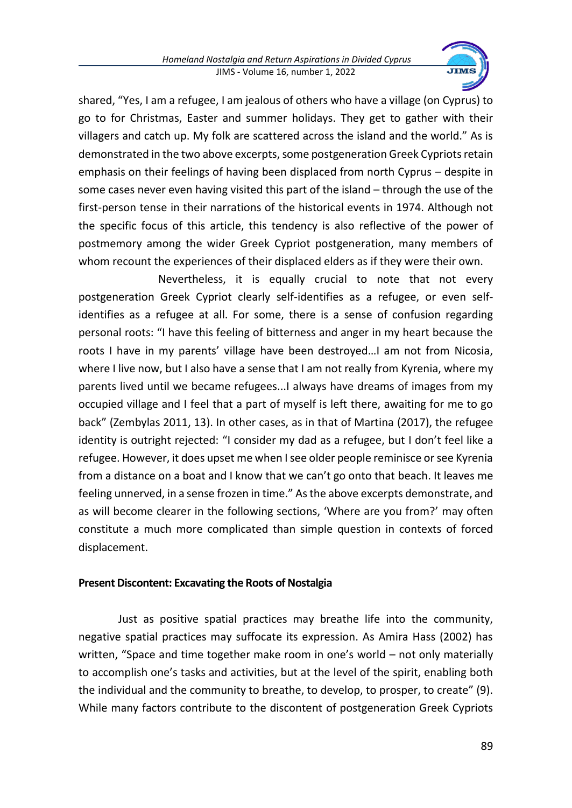

shared, "Yes, I am a refugee, I am jealous of others who have a village (on Cyprus) to go to for Christmas, Easter and summer holidays. They get to gather with their villagers and catch up. My folk are scattered across the island and the world." As is demonstrated in the two above excerpts, some postgeneration Greek Cypriots retain emphasis on their feelings of having been displaced from north Cyprus – despite in some cases never even having visited this part of the island – through the use of the first-person tense in their narrations of the historical events in 1974. Although not the specific focus of this article, this tendency is also reflective of the power of postmemory among the wider Greek Cypriot postgeneration, many members of whom recount the experiences of their displaced elders as if they were their own.

Nevertheless, it is equally crucial to note that not every postgeneration Greek Cypriot clearly self-identifies as a refugee, or even selfidentifies as a refugee at all. For some, there is a sense of confusion regarding personal roots: "I have this feeling of bitterness and anger in my heart because the roots I have in my parents' village have been destroyed…I am not from Nicosia, where I live now, but I also have a sense that I am not really from Kyrenia, where my parents lived until we became refugees...I always have dreams of images from my occupied village and I feel that a part of myself is left there, awaiting for me to go back" (Zembylas 2011, 13). In other cases, as in that of Martina (2017), the refugee identity is outright rejected: "I consider my dad as a refugee, but I don't feel like a refugee. However, it does upset me when I see older people reminisce or see Kyrenia from a distance on a boat and I know that we can't go onto that beach. It leaves me feeling unnerved, in a sense frozen in time." As the above excerpts demonstrate, and as will become clearer in the following sections, 'Where are you from?' may often constitute a much more complicated than simple question in contexts of forced displacement.

# **Present Discontent: Excavating the Roots of Nostalgia**

Just as positive spatial practices may breathe life into the community, negative spatial practices may suffocate its expression. As Amira Hass (2002) has written, "Space and time together make room in one's world – not only materially to accomplish one's tasks and activities, but at the level of the spirit, enabling both the individual and the community to breathe, to develop, to prosper, to create" (9). While many factors contribute to the discontent of postgeneration Greek Cypriots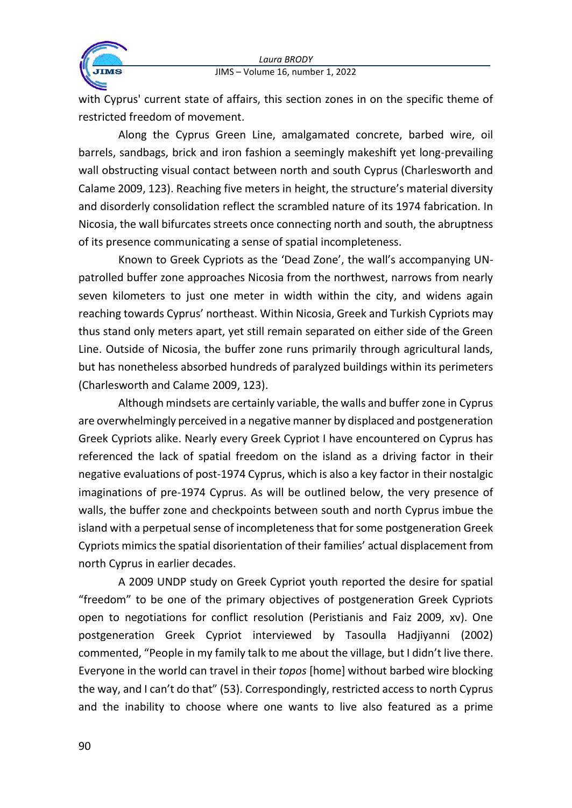

with Cyprus' current state of affairs, this section zones in on the specific theme of restricted freedom of movement.

Along the Cyprus Green Line, amalgamated concrete, barbed wire, oil barrels, sandbags, brick and iron fashion a seemingly makeshift yet long-prevailing wall obstructing visual contact between north and south Cyprus (Charlesworth and Calame 2009, 123). Reaching five meters in height, the structure's material diversity and disorderly consolidation reflect the scrambled nature of its 1974 fabrication. In Nicosia, the wall bifurcates streets once connecting north and south, the abruptness of its presence communicating a sense of spatial incompleteness.

Known to Greek Cypriots as the 'Dead Zone', the wall's accompanying UNpatrolled buffer zone approaches Nicosia from the northwest, narrows from nearly seven kilometers to just one meter in width within the city, and widens again reaching towards Cyprus' northeast. Within Nicosia, Greek and Turkish Cypriots may thus stand only meters apart, yet still remain separated on either side of the Green Line. Outside of Nicosia, the buffer zone runs primarily through agricultural lands, but has nonetheless absorbed hundreds of paralyzed buildings within its perimeters (Charlesworth and Calame 2009, 123).

Although mindsets are certainly variable, the walls and buffer zone in Cyprus are overwhelmingly perceived in a negative manner by displaced and postgeneration Greek Cypriots alike. Nearly every Greek Cypriot I have encountered on Cyprus has referenced the lack of spatial freedom on the island as a driving factor in their negative evaluations of post-1974 Cyprus, which is also a key factor in their nostalgic imaginations of pre-1974 Cyprus. As will be outlined below, the very presence of walls, the buffer zone and checkpoints between south and north Cyprus imbue the island with a perpetual sense of incompleteness that for some postgeneration Greek Cypriots mimics the spatial disorientation of their families' actual displacement from north Cyprus in earlier decades.

A 2009 UNDP study on Greek Cypriot youth reported the desire for spatial "freedom" to be one of the primary objectives of postgeneration Greek Cypriots open to negotiations for conflict resolution (Peristianis and Faiz 2009, xv). One postgeneration Greek Cypriot interviewed by Tasoulla Hadjiyanni (2002) commented, "People in my family talk to me about the village, but I didn't live there. Everyone in the world can travel in their *topos* [home] without barbed wire blocking the way, and I can't do that" (53). Correspondingly, restricted access to north Cyprus and the inability to choose where one wants to live also featured as a prime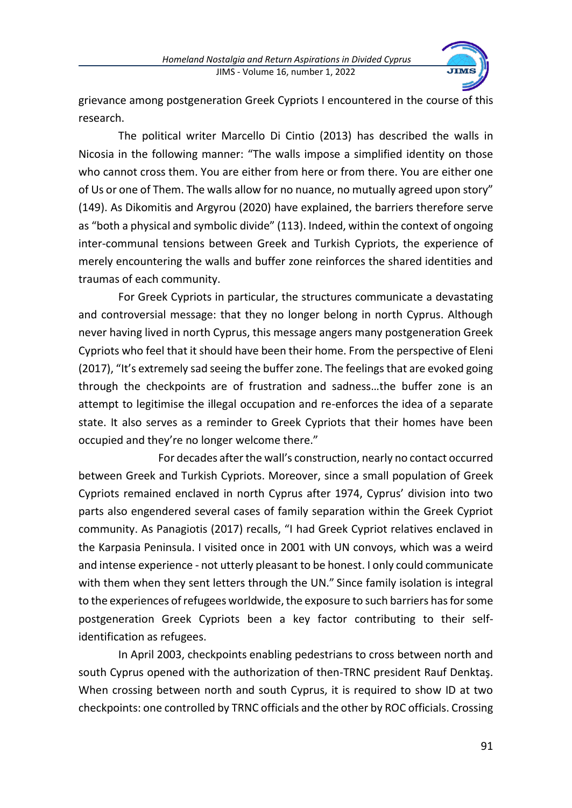

grievance among postgeneration Greek Cypriots I encountered in the course of this research.

The political writer Marcello Di Cintio (2013) has described the walls in Nicosia in the following manner: "The walls impose a simplified identity on those who cannot cross them. You are either from here or from there. You are either one of Us or one of Them. The walls allow for no nuance, no mutually agreed upon story" (149). As Dikomitis and Argyrou (2020) have explained, the barriers therefore serve as "both a physical and symbolic divide" (113). Indeed, within the context of ongoing inter-communal tensions between Greek and Turkish Cypriots, the experience of merely encountering the walls and buffer zone reinforces the shared identities and traumas of each community.

For Greek Cypriots in particular, the structures communicate a devastating and controversial message: that they no longer belong in north Cyprus. Although never having lived in north Cyprus, this message angers many postgeneration Greek Cypriots who feel that it should have been their home. From the perspective of Eleni (2017), "It's extremely sad seeing the buffer zone. The feelings that are evoked going through the checkpoints are of frustration and sadness…the buffer zone is an attempt to legitimise the illegal occupation and re-enforces the idea of a separate state. It also serves as a reminder to Greek Cypriots that their homes have been occupied and they're no longer welcome there."

For decades after the wall's construction, nearly no contact occurred between Greek and Turkish Cypriots. Moreover, since a small population of Greek Cypriots remained enclaved in north Cyprus after 1974, Cyprus' division into two parts also engendered several cases of family separation within the Greek Cypriot community. As Panagiotis (2017) recalls, "I had Greek Cypriot relatives enclaved in the Karpasia Peninsula. I visited once in 2001 with UN convoys, which was a weird and intense experience - not utterly pleasant to be honest. I only could communicate with them when they sent letters through the UN." Since family isolation is integral to the experiences of refugees worldwide, the exposure to such barriers has for some postgeneration Greek Cypriots been a key factor contributing to their selfidentification as refugees.

In April 2003, checkpoints enabling pedestrians to cross between north and south Cyprus opened with the authorization of then-TRNC president Rauf Denktaş. When crossing between north and south Cyprus, it is required to show ID at two checkpoints: one controlled by TRNC officials and the other by ROC officials. Crossing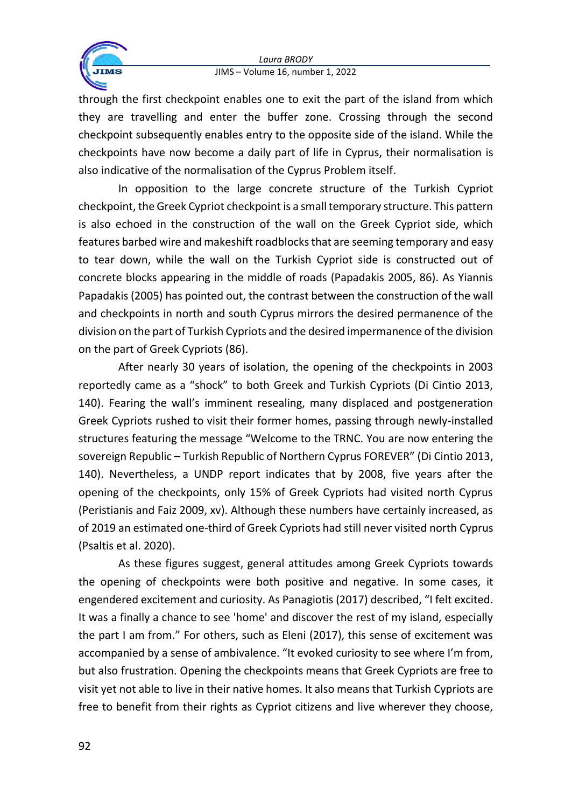

through the first checkpoint enables one to exit the part of the island from which they are travelling and enter the buffer zone. Crossing through the second checkpoint subsequently enables entry to the opposite side of the island. While the checkpoints have now become a daily part of life in Cyprus, their normalisation is also indicative of the normalisation of the Cyprus Problem itself.

In opposition to the large concrete structure of the Turkish Cypriot checkpoint, the Greek Cypriot checkpoint is a small temporary structure. This pattern is also echoed in the construction of the wall on the Greek Cypriot side, which features barbed wire and makeshift roadblocks that are seeming temporary and easy to tear down, while the wall on the Turkish Cypriot side is constructed out of concrete blocks appearing in the middle of roads (Papadakis 2005, 86). As Yiannis Papadakis (2005) has pointed out, the contrast between the construction of the wall and checkpoints in north and south Cyprus mirrors the desired permanence of the division on the part of Turkish Cypriots and the desired impermanence of the division on the part of Greek Cypriots (86).

After nearly 30 years of isolation, the opening of the checkpoints in 2003 reportedly came as a "shock" to both Greek and Turkish Cypriots (Di Cintio 2013, 140). Fearing the wall's imminent resealing, many displaced and postgeneration Greek Cypriots rushed to visit their former homes, passing through newly-installed structures featuring the message "Welcome to the TRNC. You are now entering the sovereign Republic – Turkish Republic of Northern Cyprus FOREVER" (Di Cintio 2013, 140). Nevertheless, a UNDP report indicates that by 2008, five years after the opening of the checkpoints, only 15% of Greek Cypriots had visited north Cyprus (Peristianis and Faiz 2009, xv). Although these numbers have certainly increased, as of 2019 an estimated one-third of Greek Cypriots had still never visited north Cyprus (Psaltis et al. 2020).

As these figures suggest, general attitudes among Greek Cypriots towards the opening of checkpoints were both positive and negative. In some cases, it engendered excitement and curiosity. As Panagiotis (2017) described, "I felt excited. It was a finally a chance to see 'home' and discover the rest of my island, especially the part I am from." For others, such as Eleni (2017), this sense of excitement was accompanied by a sense of ambivalence. "It evoked curiosity to see where I'm from, but also frustration. Opening the checkpoints means that Greek Cypriots are free to visit yet not able to live in their native homes. It also means that Turkish Cypriots are free to benefit from their rights as Cypriot citizens and live wherever they choose,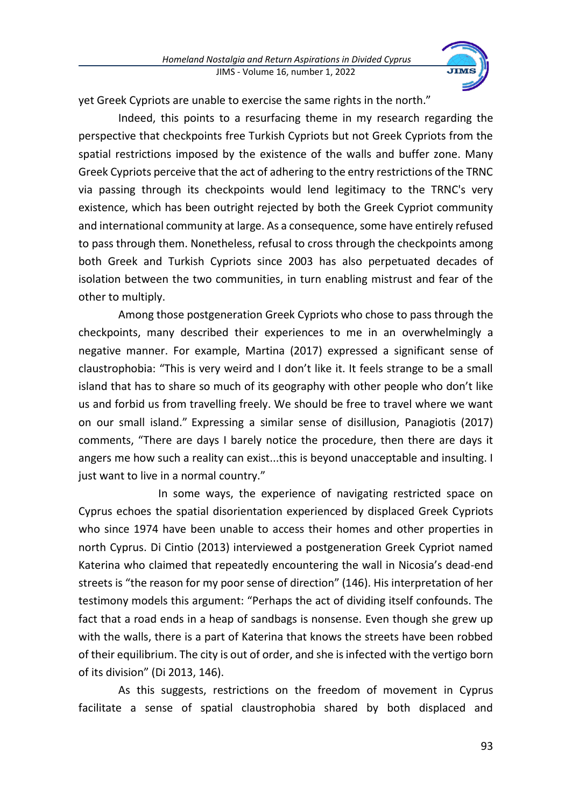

yet Greek Cypriots are unable to exercise the same rights in the north."

Indeed, this points to a resurfacing theme in my research regarding the perspective that checkpoints free Turkish Cypriots but not Greek Cypriots from the spatial restrictions imposed by the existence of the walls and buffer zone. Many Greek Cypriots perceive that the act of adhering to the entry restrictions of the TRNC via passing through its checkpoints would lend legitimacy to the TRNC's very existence, which has been outright rejected by both the Greek Cypriot community and international community at large. As a consequence, some have entirely refused to pass through them. Nonetheless, refusal to cross through the checkpoints among both Greek and Turkish Cypriots since 2003 has also perpetuated decades of isolation between the two communities, in turn enabling mistrust and fear of the other to multiply.

Among those postgeneration Greek Cypriots who chose to pass through the checkpoints, many described their experiences to me in an overwhelmingly a negative manner. For example, Martina (2017) expressed a significant sense of claustrophobia: "This is very weird and I don't like it. It feels strange to be a small island that has to share so much of its geography with other people who don't like us and forbid us from travelling freely. We should be free to travel where we want on our small island." Expressing a similar sense of disillusion, Panagiotis (2017) comments, "There are days I barely notice the procedure, then there are days it angers me how such a reality can exist...this is beyond unacceptable and insulting. I just want to live in a normal country."

In some ways, the experience of navigating restricted space on Cyprus echoes the spatial disorientation experienced by displaced Greek Cypriots who since 1974 have been unable to access their homes and other properties in north Cyprus. Di Cintio (2013) interviewed a postgeneration Greek Cypriot named Katerina who claimed that repeatedly encountering the wall in Nicosia's dead-end streets is "the reason for my poor sense of direction" (146). His interpretation of her testimony models this argument: "Perhaps the act of dividing itself confounds. The fact that a road ends in a heap of sandbags is nonsense. Even though she grew up with the walls, there is a part of Katerina that knows the streets have been robbed of their equilibrium. The city is out of order, and she is infected with the vertigo born of its division" (Di 2013, 146).

As this suggests, restrictions on the freedom of movement in Cyprus facilitate a sense of spatial claustrophobia shared by both displaced and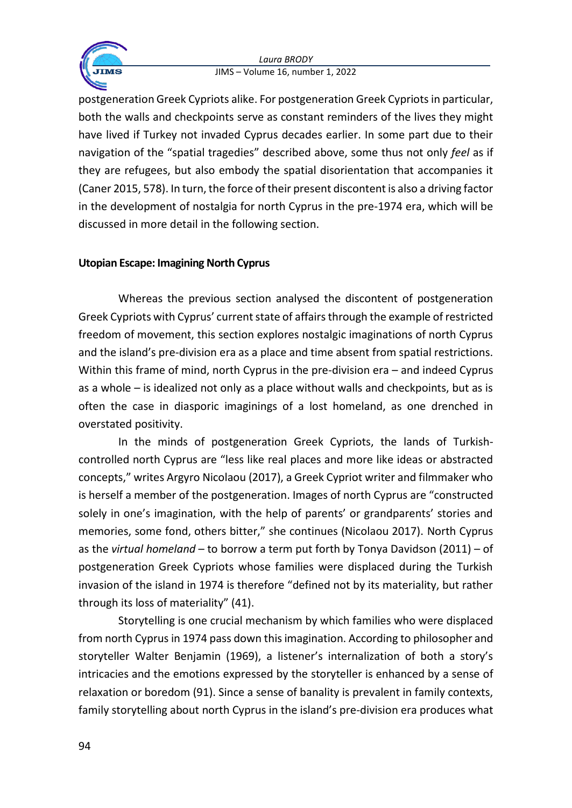

postgeneration Greek Cypriots alike. For postgeneration Greek Cypriots in particular, both the walls and checkpoints serve as constant reminders of the lives they might have lived if Turkey not invaded Cyprus decades earlier. In some part due to their navigation of the "spatial tragedies" described above, some thus not only *feel* as if they are refugees, but also embody the spatial disorientation that accompanies it (Caner 2015, 578). In turn, the force of their present discontent is also a driving factor in the development of nostalgia for north Cyprus in the pre-1974 era, which will be discussed in more detail in the following section.

# **Utopian Escape: Imagining North Cyprus**

Whereas the previous section analysed the discontent of postgeneration Greek Cypriots with Cyprus' current state of affairs through the example of restricted freedom of movement, this section explores nostalgic imaginations of north Cyprus and the island's pre-division era as a place and time absent from spatial restrictions. Within this frame of mind, north Cyprus in the pre-division era – and indeed Cyprus as a whole – is idealized not only as a place without walls and checkpoints, but as is often the case in diasporic imaginings of a lost homeland, as one drenched in overstated positivity.

In the minds of postgeneration Greek Cypriots, the lands of Turkishcontrolled north Cyprus are "less like real places and more like ideas or abstracted concepts," writes Argyro Nicolaou (2017), a Greek Cypriot writer and filmmaker who is herself a member of the postgeneration. Images of north Cyprus are "constructed solely in one's imagination, with the help of parents' or grandparents' stories and memories, some fond, others bitter," she continues (Nicolaou 2017). North Cyprus as the *virtual homeland* – to borrow a term put forth by Tonya Davidson (2011) – of postgeneration Greek Cypriots whose families were displaced during the Turkish invasion of the island in 1974 is therefore "defined not by its materiality, but rather through its loss of materiality" (41).

Storytelling is one crucial mechanism by which families who were displaced from north Cyprus in 1974 pass down this imagination. According to philosopher and storyteller Walter Benjamin (1969), a listener's internalization of both a story's intricacies and the emotions expressed by the storyteller is enhanced by a sense of relaxation or boredom (91). Since a sense of banality is prevalent in family contexts, family storytelling about north Cyprus in the island's pre-division era produces what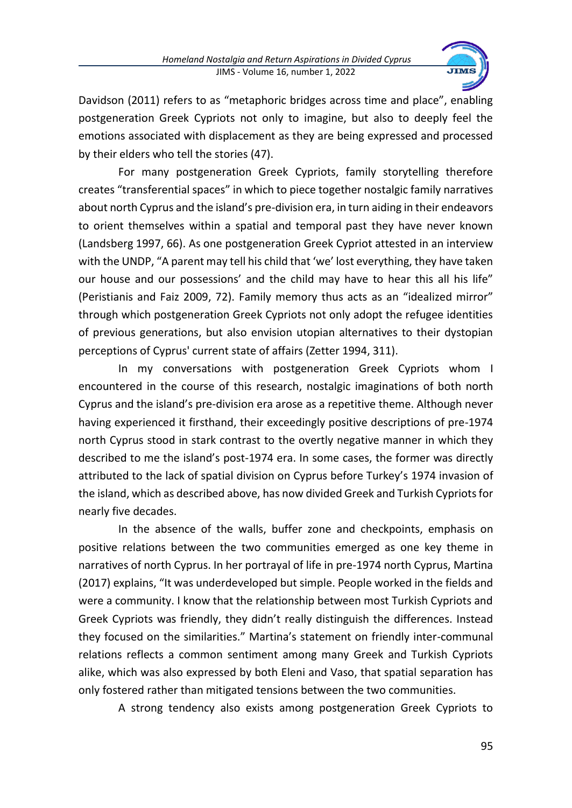

Davidson (2011) refers to as "metaphoric bridges across time and place", enabling postgeneration Greek Cypriots not only to imagine, but also to deeply feel the emotions associated with displacement as they are being expressed and processed by their elders who tell the stories (47).

For many postgeneration Greek Cypriots, family storytelling therefore creates "transferential spaces" in which to piece together nostalgic family narratives about north Cyprus and the island's pre-division era, in turn aiding in their endeavors to orient themselves within a spatial and temporal past they have never known (Landsberg 1997, 66). As one postgeneration Greek Cypriot attested in an interview with the UNDP, "A parent may tell his child that 'we' lost everything, they have taken our house and our possessions' and the child may have to hear this all his life" (Peristianis and Faiz 2009, 72). Family memory thus acts as an "idealized mirror" through which postgeneration Greek Cypriots not only adopt the refugee identities of previous generations, but also envision utopian alternatives to their dystopian perceptions of Cyprus' current state of affairs (Zetter 1994, 311).

In my conversations with postgeneration Greek Cypriots whom I encountered in the course of this research, nostalgic imaginations of both north Cyprus and the island's pre-division era arose as a repetitive theme. Although never having experienced it firsthand, their exceedingly positive descriptions of pre-1974 north Cyprus stood in stark contrast to the overtly negative manner in which they described to me the island's post-1974 era. In some cases, the former was directly attributed to the lack of spatial division on Cyprus before Turkey's 1974 invasion of the island, which as described above, has now divided Greek and Turkish Cypriots for nearly five decades.

In the absence of the walls, buffer zone and checkpoints, emphasis on positive relations between the two communities emerged as one key theme in narratives of north Cyprus. In her portrayal of life in pre-1974 north Cyprus, Martina (2017) explains, "It was underdeveloped but simple. People worked in the fields and were a community. I know that the relationship between most Turkish Cypriots and Greek Cypriots was friendly, they didn't really distinguish the differences. Instead they focused on the similarities." Martina's statement on friendly inter-communal relations reflects a common sentiment among many Greek and Turkish Cypriots alike, which was also expressed by both Eleni and Vaso, that spatial separation has only fostered rather than mitigated tensions between the two communities.

A strong tendency also exists among postgeneration Greek Cypriots to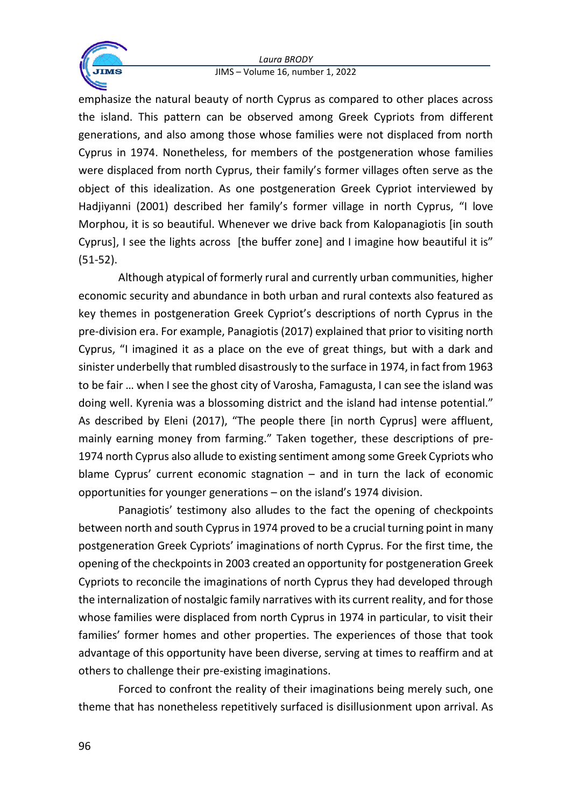

emphasize the natural beauty of north Cyprus as compared to other places across the island. This pattern can be observed among Greek Cypriots from different generations, and also among those whose families were not displaced from north Cyprus in 1974. Nonetheless, for members of the postgeneration whose families were displaced from north Cyprus, their family's former villages often serve as the object of this idealization. As one postgeneration Greek Cypriot interviewed by Hadjiyanni (2001) described her family's former village in north Cyprus, "I love Morphou, it is so beautiful. Whenever we drive back from Kalopanagiotis [in south Cyprus], I see the lights across [the buffer zone] and I imagine how beautiful it is" (51-52).

Although atypical of formerly rural and currently urban communities, higher economic security and abundance in both urban and rural contexts also featured as key themes in postgeneration Greek Cypriot's descriptions of north Cyprus in the pre-division era. For example, Panagiotis (2017) explained that prior to visiting north Cyprus, "I imagined it as a place on the eve of great things, but with a dark and sinister underbelly that rumbled disastrously to the surface in 1974, in fact from 1963 to be fair … when I see the ghost city of Varosha, Famagusta, I can see the island was doing well. Kyrenia was a blossoming district and the island had intense potential." As described by Eleni (2017), "The people there [in north Cyprus] were affluent, mainly earning money from farming." Taken together, these descriptions of pre-1974 north Cyprus also allude to existing sentiment among some Greek Cypriots who blame Cyprus' current economic stagnation – and in turn the lack of economic opportunities for younger generations – on the island's 1974 division.

Panagiotis' testimony also alludes to the fact the opening of checkpoints between north and south Cyprus in 1974 proved to be a crucial turning point in many postgeneration Greek Cypriots' imaginations of north Cyprus. For the first time, the opening of the checkpoints in 2003 created an opportunity for postgeneration Greek Cypriots to reconcile the imaginations of north Cyprus they had developed through the internalization of nostalgic family narratives with its current reality, and for those whose families were displaced from north Cyprus in 1974 in particular, to visit their families' former homes and other properties. The experiences of those that took advantage of this opportunity have been diverse, serving at times to reaffirm and at others to challenge their pre-existing imaginations.

Forced to confront the reality of their imaginations being merely such, one theme that has nonetheless repetitively surfaced is disillusionment upon arrival. As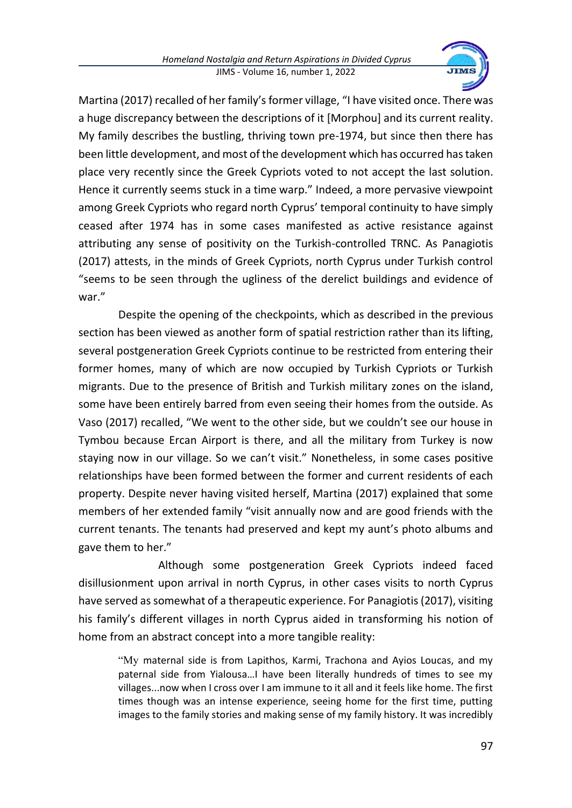

Martina (2017) recalled of her family's former village, "I have visited once. There was a huge discrepancy between the descriptions of it [Morphou] and its current reality. My family describes the bustling, thriving town pre-1974, but since then there has been little development, and most of the development which has occurred has taken place very recently since the Greek Cypriots voted to not accept the last solution. Hence it currently seems stuck in a time warp." Indeed, a more pervasive viewpoint among Greek Cypriots who regard north Cyprus' temporal continuity to have simply ceased after 1974 has in some cases manifested as active resistance against attributing any sense of positivity on the Turkish-controlled TRNC. As Panagiotis (2017) attests, in the minds of Greek Cypriots, north Cyprus under Turkish control "seems to be seen through the ugliness of the derelict buildings and evidence of war."

Despite the opening of the checkpoints, which as described in the previous section has been viewed as another form of spatial restriction rather than its lifting, several postgeneration Greek Cypriots continue to be restricted from entering their former homes, many of which are now occupied by Turkish Cypriots or Turkish migrants. Due to the presence of British and Turkish military zones on the island, some have been entirely barred from even seeing their homes from the outside. As Vaso (2017) recalled, "We went to the other side, but we couldn't see our house in Tymbou because Ercan Airport is there, and all the military from Turkey is now staying now in our village. So we can't visit." Nonetheless, in some cases positive relationships have been formed between the former and current residents of each property. Despite never having visited herself, Martina (2017) explained that some members of her extended family "visit annually now and are good friends with the current tenants. The tenants had preserved and kept my aunt's photo albums and gave them to her."

Although some postgeneration Greek Cypriots indeed faced disillusionment upon arrival in north Cyprus, in other cases visits to north Cyprus have served as somewhat of a therapeutic experience. For Panagiotis (2017), visiting his family's different villages in north Cyprus aided in transforming his notion of home from an abstract concept into a more tangible reality:

"My maternal side is from Lapithos, Karmi, Trachona and Ayios Loucas, and my paternal side from Yialousa…I have been literally hundreds of times to see my villages...now when I cross over I am immune to it all and it feels like home. The first times though was an intense experience, seeing home for the first time, putting images to the family stories and making sense of my family history. It was incredibly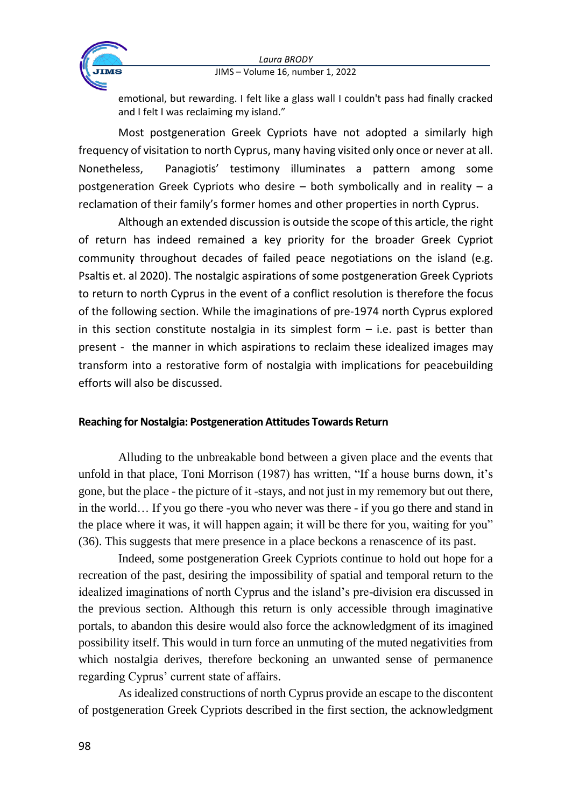

emotional, but rewarding. I felt like a glass wall I couldn't pass had finally cracked and I felt I was reclaiming my island."

Most postgeneration Greek Cypriots have not adopted a similarly high frequency of visitation to north Cyprus, many having visited only once or never at all. Nonetheless, Panagiotis' testimony illuminates a pattern among some postgeneration Greek Cypriots who desire – both symbolically and in reality – a reclamation of their family's former homes and other properties in north Cyprus.

Although an extended discussion is outside the scope of this article, the right of return has indeed remained a key priority for the broader Greek Cypriot community throughout decades of failed peace negotiations on the island (e.g. Psaltis et. al 2020). The nostalgic aspirations of some postgeneration Greek Cypriots to return to north Cyprus in the event of a conflict resolution is therefore the focus of the following section. While the imaginations of pre-1974 north Cyprus explored in this section constitute nostalgia in its simplest form  $-$  i.e. past is better than present - the manner in which aspirations to reclaim these idealized images may transform into a restorative form of nostalgia with implications for peacebuilding efforts will also be discussed.

# **Reaching for Nostalgia: Postgeneration Attitudes Towards Return**

Alluding to the unbreakable bond between a given place and the events that unfold in that place, Toni Morrison (1987) has written, "If a house burns down, it's gone, but the place - the picture of it -stays, and not just in my rememory but out there, in the world… If you go there -you who never was there - if you go there and stand in the place where it was, it will happen again; it will be there for you, waiting for you" (36). This suggests that mere presence in a place beckons a renascence of its past.

Indeed, some postgeneration Greek Cypriots continue to hold out hope for a recreation of the past, desiring the impossibility of spatial and temporal return to the idealized imaginations of north Cyprus and the island's pre-division era discussed in the previous section. Although this return is only accessible through imaginative portals, to abandon this desire would also force the acknowledgment of its imagined possibility itself. This would in turn force an unmuting of the muted negativities from which nostalgia derives, therefore beckoning an unwanted sense of permanence regarding Cyprus' current state of affairs.

As idealized constructions of north Cyprus provide an escape to the discontent of postgeneration Greek Cypriots described in the first section, the acknowledgment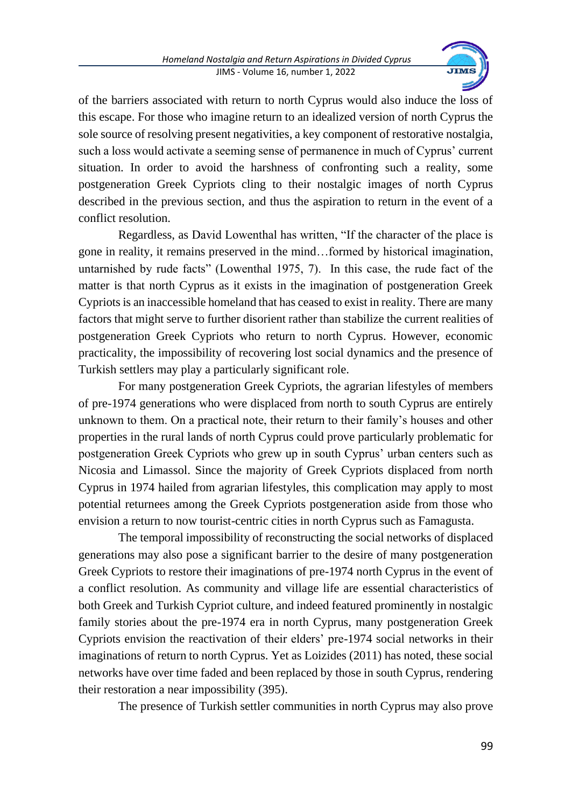

of the barriers associated with return to north Cyprus would also induce the loss of this escape. For those who imagine return to an idealized version of north Cyprus the sole source of resolving present negativities, a key component of restorative nostalgia, such a loss would activate a seeming sense of permanence in much of Cyprus' current situation. In order to avoid the harshness of confronting such a reality, some postgeneration Greek Cypriots cling to their nostalgic images of north Cyprus described in the previous section, and thus the aspiration to return in the event of a conflict resolution.

Regardless, as David Lowenthal has written, "If the character of the place is gone in reality, it remains preserved in the mind…formed by historical imagination, untarnished by rude facts" (Lowenthal 1975, 7). In this case, the rude fact of the matter is that north Cyprus as it exists in the imagination of postgeneration Greek Cypriots is an inaccessible homeland that has ceased to exist in reality. There are many factors that might serve to further disorient rather than stabilize the current realities of postgeneration Greek Cypriots who return to north Cyprus. However, economic practicality, the impossibility of recovering lost social dynamics and the presence of Turkish settlers may play a particularly significant role.

For many postgeneration Greek Cypriots, the agrarian lifestyles of members of pre-1974 generations who were displaced from north to south Cyprus are entirely unknown to them. On a practical note, their return to their family's houses and other properties in the rural lands of north Cyprus could prove particularly problematic for postgeneration Greek Cypriots who grew up in south Cyprus' urban centers such as Nicosia and Limassol. Since the majority of Greek Cypriots displaced from north Cyprus in 1974 hailed from agrarian lifestyles, this complication may apply to most potential returnees among the Greek Cypriots postgeneration aside from those who envision a return to now tourist-centric cities in north Cyprus such as Famagusta.

The temporal impossibility of reconstructing the social networks of displaced generations may also pose a significant barrier to the desire of many postgeneration Greek Cypriots to restore their imaginations of pre-1974 north Cyprus in the event of a conflict resolution. As community and village life are essential characteristics of both Greek and Turkish Cypriot culture, and indeed featured prominently in nostalgic family stories about the pre-1974 era in north Cyprus, many postgeneration Greek Cypriots envision the reactivation of their elders' pre-1974 social networks in their imaginations of return to north Cyprus. Yet as Loizides (2011) has noted, these social networks have over time faded and been replaced by those in south Cyprus, rendering their restoration a near impossibility (395).

The presence of Turkish settler communities in north Cyprus may also prove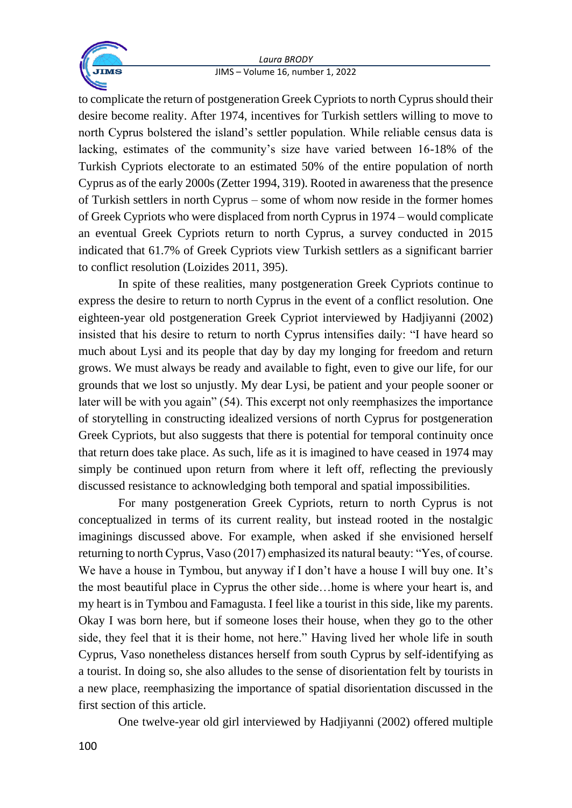

to complicate the return of postgeneration Greek Cypriots to north Cyprus should their desire become reality. After 1974, incentives for Turkish settlers willing to move to north Cyprus bolstered the island's settler population. While reliable census data is lacking, estimates of the community's size have varied between 16-18% of the Turkish Cypriots electorate to an estimated 50% of the entire population of north Cyprus as of the early 2000s (Zetter 1994, 319). Rooted in awareness that the presence of Turkish settlers in north Cyprus – some of whom now reside in the former homes of Greek Cypriots who were displaced from north Cyprus in 1974 – would complicate an eventual Greek Cypriots return to north Cyprus, a survey conducted in 2015 indicated that 61.7% of Greek Cypriots view Turkish settlers as a significant barrier to conflict resolution (Loizides 2011, 395).

In spite of these realities, many postgeneration Greek Cypriots continue to express the desire to return to north Cyprus in the event of a conflict resolution. One eighteen-year old postgeneration Greek Cypriot interviewed by Hadjiyanni (2002) insisted that his desire to return to north Cyprus intensifies daily: "I have heard so much about Lysi and its people that day by day my longing for freedom and return grows. We must always be ready and available to fight, even to give our life, for our grounds that we lost so unjustly. My dear Lysi, be patient and your people sooner or later will be with you again" (54). This excerpt not only reemphasizes the importance of storytelling in constructing idealized versions of north Cyprus for postgeneration Greek Cypriots, but also suggests that there is potential for temporal continuity once that return does take place. As such, life as it is imagined to have ceased in 1974 may simply be continued upon return from where it left off, reflecting the previously discussed resistance to acknowledging both temporal and spatial impossibilities.

For many postgeneration Greek Cypriots, return to north Cyprus is not conceptualized in terms of its current reality, but instead rooted in the nostalgic imaginings discussed above. For example, when asked if she envisioned herself returning to north Cyprus, Vaso (2017) emphasized its natural beauty: "Yes, of course. We have a house in Tymbou, but anyway if I don't have a house I will buy one. It's the most beautiful place in Cyprus the other side…home is where your heart is, and my heart is in Tymbou and Famagusta. I feel like a tourist in this side, like my parents. Okay I was born here, but if someone loses their house, when they go to the other side, they feel that it is their home, not here." Having lived her whole life in south Cyprus, Vaso nonetheless distances herself from south Cyprus by self-identifying as a tourist. In doing so, she also alludes to the sense of disorientation felt by tourists in a new place, reemphasizing the importance of spatial disorientation discussed in the first section of this article.

One twelve-year old girl interviewed by Hadjiyanni (2002) offered multiple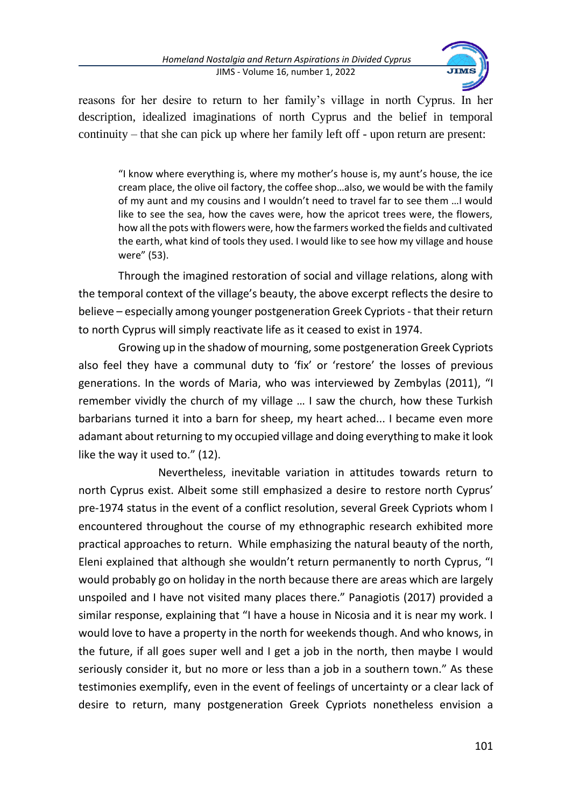

reasons for her desire to return to her family's village in north Cyprus. In her description, idealized imaginations of north Cyprus and the belief in temporal continuity – that she can pick up where her family left off - upon return are present:

"I know where everything is, where my mother's house is, my aunt's house, the ice cream place, the olive oil factory, the coffee shop…also, we would be with the family of my aunt and my cousins and I wouldn't need to travel far to see them …I would like to see the sea, how the caves were, how the apricot trees were, the flowers, how all the pots with flowers were, how the farmers worked the fields and cultivated the earth, what kind of tools they used. I would like to see how my village and house were" (53).

Through the imagined restoration of social and village relations, along with the temporal context of the village's beauty, the above excerpt reflects the desire to believe – especially among younger postgeneration Greek Cypriots - that their return to north Cyprus will simply reactivate life as it ceased to exist in 1974.

Growing up in the shadow of mourning, some postgeneration Greek Cypriots also feel they have a communal duty to 'fix' or 'restore' the losses of previous generations. In the words of Maria, who was interviewed by Zembylas (2011), "I remember vividly the church of my village … I saw the church, how these Turkish barbarians turned it into a barn for sheep, my heart ached... I became even more adamant about returning to my occupied village and doing everything to make it look like the way it used to." (12).

Nevertheless, inevitable variation in attitudes towards return to north Cyprus exist. Albeit some still emphasized a desire to restore north Cyprus' pre-1974 status in the event of a conflict resolution, several Greek Cypriots whom I encountered throughout the course of my ethnographic research exhibited more practical approaches to return. While emphasizing the natural beauty of the north, Eleni explained that although she wouldn't return permanently to north Cyprus, "I would probably go on holiday in the north because there are areas which are largely unspoiled and I have not visited many places there." Panagiotis (2017) provided a similar response, explaining that "I have a house in Nicosia and it is near my work. I would love to have a property in the north for weekends though. And who knows, in the future, if all goes super well and I get a job in the north, then maybe I would seriously consider it, but no more or less than a job in a southern town." As these testimonies exemplify, even in the event of feelings of uncertainty or a clear lack of desire to return, many postgeneration Greek Cypriots nonetheless envision a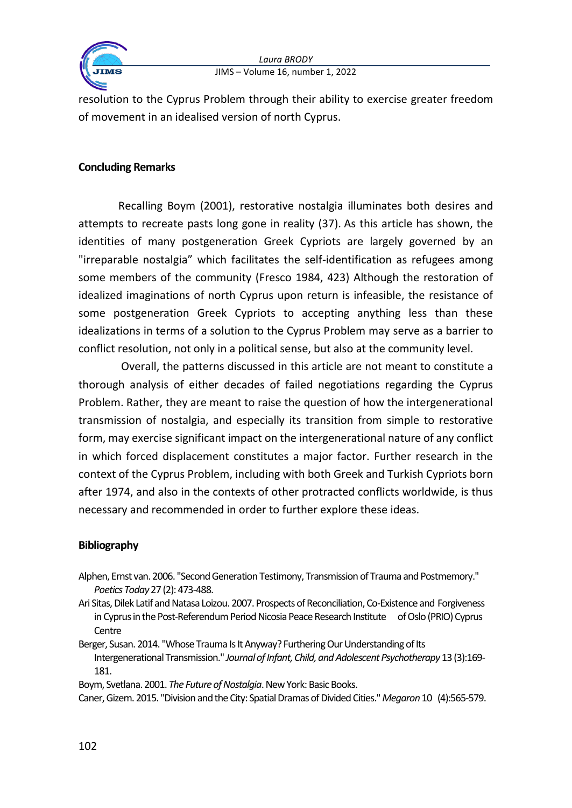

resolution to the Cyprus Problem through their ability to exercise greater freedom of movement in an idealised version of north Cyprus.

# **Concluding Remarks**

Recalling Boym (2001), restorative nostalgia illuminates both desires and attempts to recreate pasts long gone in reality (37). As this article has shown, the identities of many postgeneration Greek Cypriots are largely governed by an "irreparable nostalgia" which facilitates the self-identification as refugees among some members of the community (Fresco 1984, 423) Although the restoration of idealized imaginations of north Cyprus upon return is infeasible, the resistance of some postgeneration Greek Cypriots to accepting anything less than these idealizations in terms of a solution to the Cyprus Problem may serve as a barrier to conflict resolution, not only in a political sense, but also at the community level.

Overall, the patterns discussed in this article are not meant to constitute a thorough analysis of either decades of failed negotiations regarding the Cyprus Problem. Rather, they are meant to raise the question of how the intergenerational transmission of nostalgia, and especially its transition from simple to restorative form, may exercise significant impact on the intergenerational nature of any conflict in which forced displacement constitutes a major factor. Further research in the context of the Cyprus Problem, including with both Greek and Turkish Cypriots born after 1974, and also in the contexts of other protracted conflicts worldwide, is thus necessary and recommended in order to further explore these ideas.

### **Bibliography**

- Alphen, Ernst van. 2006. "Second Generation Testimony, Transmission of Trauma and Postmemory." *Poetics Today*27 (2): 473-488.
- Ari Sitas, Dilek Latif and Natasa Loizou. 2007. Prospects of Reconciliation, Co-Existence and Forgiveness in Cyprus in the Post-Referendum Period Nicosia Peace Research Institute of Oslo (PRIO) Cyprus **Centre**
- Berger, Susan. 2014. "Whose Trauma Is It Anyway? Furthering Our Understanding of Its Intergenerational Transmission." *Journal of Infant, Child, and Adolescent Psychotherapy* 13 (3):169- 181.
- Boym, Svetlana. 2001. *The Future of Nostalgia*. New York: Basic Books.

Caner, Gizem. 2015. "Division and the City: Spatial Dramas of Divided Cities." *Megaron*10 (4):565-579.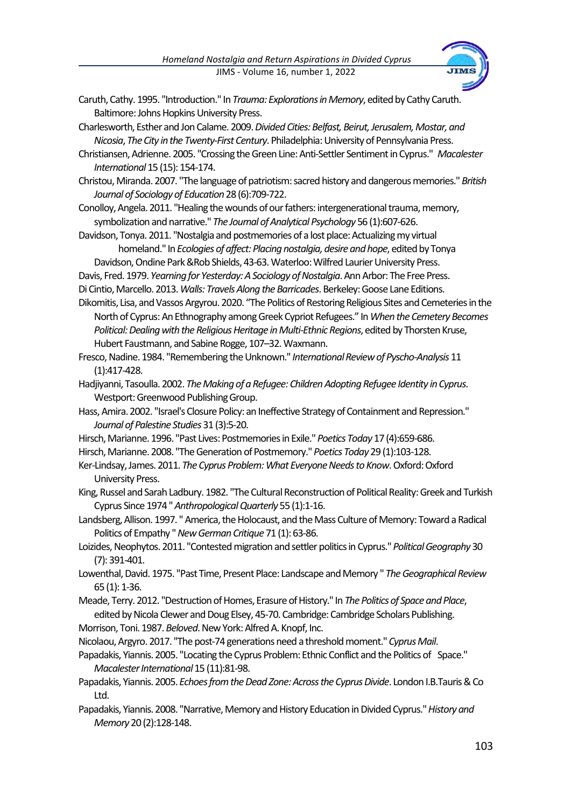

- Caruth, Cathy. 1995. "Introduction." In *Trauma: Explorations in Memory*, edited by Cathy Caruth. Baltimore: Johns Hopkins University Press.
- Charlesworth, Esther and Jon Calame. 2009. *Divided Cities: Belfast, Beirut, Jerusalem, Mostar, and Nicosia*, *The City in the Twenty-First Century*. Philadelphia: University of Pennsylvania Press.
- Christiansen, Adrienne. 2005. "Crossing the Green Line: Anti-Settler Sentiment in Cyprus." *Macalester International* 15 (15): 154-174.
- Christou, Miranda. 2007. "The language of patriotism: sacred history and dangerous memories." *British Journal of Sociology of Education*28 (6):709-722.
- Conolloy, Angela. 2011. "Healing the wounds of our fathers: intergenerational trauma, memory, symbolization and narrative." *The Journal of Analytical Psychology* 56 (1):607-626.
- Davidson, Tonya. 2011. "Nostalgia and postmemories of a lost place: Actualizing my virtual homeland." In *Ecologies of affect: Placing nostalgia, desire and hope*, edited by Tonya
- Davidson, Ondine Park &Rob Shields, 43-63. Waterloo: Wilfred Laurier University Press.
- Davis, Fred. 1979. *Yearning for Yesterday: A Sociology of Nostalgia*. Ann Arbor: The FreePress.
- Di Cintio, Marcello. 2013. *Walls: Travels Along the Barricades*. Berkeley: Goose Lane Editions.
- Dikomitis, Lisa, and Vassos Argyrou. 2020. "The Politics of Restoring Religious Sites and Cemeteries in the North of Cyprus: An Ethnography among Greek Cypriot Refugees." In *When the Cemetery Becomes Political: Dealing with the Religious Heritage in Multi-Ethnic Regions*, edited by Thorsten Kruse, Hubert Faustmann, and Sabine Rogge, 107–32. Waxmann.
- Fresco, Nadine. 1984. "Remembering the Unknown." *International Review of Pyscho-Analysis* 11 (1):417-428.
- Hadjiyanni, Tasoulla. 2002. *The Making of a Refugee: Children Adopting Refugee Identity in Cyprus*. Westport: Greenwood Publishing Group.
- Hass, Amira. 2002. "Israel's Closure Policy: an Ineffective Strategy of Containment and Repression." *Journal of Palestine Studies* 31 (3):5-20.
- Hirsch, Marianne. 1996. "Past Lives: Postmemories in Exile." *Poetics Today* 17 (4):659-686.
- Hirsch, Marianne. 2008. "The Generation of Postmemory." *Poetics Today* 29 (1):103-128.
- Ker-Lindsay, James. 2011. *The Cyprus Problem: What Everyone Needs to Know*. Oxford: Oxford University Press.
- King, Russel and Sarah Ladbury. 1982. "The Cultural Reconstruction of Political Reality: Greek and Turkish Cyprus Since 1974 " *Anthropological Quarterly* 55 (1):1-16.
- Landsberg, Allison. 1997. " America, the Holocaust, and the Mass Culture of Memory: Toward a Radical Politics of Empathy " *New German Critique*71 (1): 63-86.
- Loizides, Neophytos. 2011. "Contested migration and settler politics in Cyprus." *Political Geography* 30 (7): 391-401.
- Lowenthal, David. 1975. "Past Time, Present Place: Landscape and Memory " *The Geographical Review* 65 (1): 1-36.
- Meade, Terry. 2012. "Destruction of Homes, Erasure of History." In *The Politics of Space and Place*, edited by Nicola Clewer and Doug Elsey, 45-70. Cambridge: Cambridge Scholars Publishing.
- Morrison, Toni. 1987. *Beloved*. New York: Alfred A. Knopf, Inc.
- Nicolaou, Argyro. 2017. "The post-74 generations need a threshold moment." *Cyprus Mail*.
- Papadakis, Yiannis. 2005. "Locating the Cyprus Problem: Ethnic Conflict and the Politics of Space." *Macalester International*15 (11):81-98.
- Papadakis, Yiannis. 2005. *Echoes from the Dead Zone: Across the Cyprus Divide*. London I.B.Tauris & Co Ltd.
- Papadakis, Yiannis. 2008. "Narrative, Memory and History Education in Divided Cyprus." *History and Memory* 20 (2):128-148.